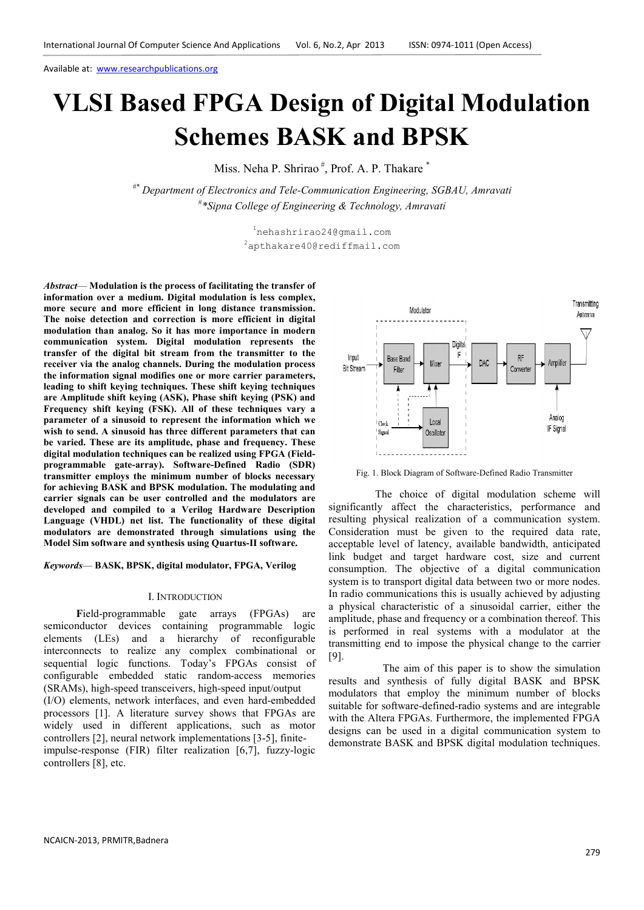# **VLSI Based FPGA Design of Digital Modulation Schemes BASK and BPSK**

Miss. Neha P. Shrirao<sup>#</sup>, Prof. A. P. Thakare<sup>\*</sup>

*#\* Department of Electronics and Tele-Communication Engineering, SGBAU, Amravati*  # *\*Sipna College of Engineering & Technology, Amravati* 

> <sup>1</sup>nehashrirao24@gmail.com <sup>2</sup>apthakare40@rediffmail.com

*Abstract*— **Modulation is the process of facilitating the transfer of information over a medium. Digital modulation is less complex, more secure and more efficient in long distance transmission. The noise detection and correction is more efficient in digital modulation than analog. So it has more importance in modern communication system. Digital modulation represents the transfer of the digital bit stream from the transmitter to the receiver via the analog channels. During the modulation process the information signal modifies one or more carrier parameters, leading to shift keying techniques. These shift keying techniques are Amplitude shift keying (ASK), Phase shift keying (PSK) and Frequency shift keying (FSK). All of these techniques vary a parameter of a sinusoid to represent the information which we wish to send. A sinusoid has three different parameters that can be varied. These are its amplitude, phase and frequency. These digital modulation techniques can be realized using FPGA (Fieldprogrammable gate-array). Software-Defined Radio (SDR) transmitter employs the minimum number of blocks necessary for achieving BASK and BPSK modulation. The modulating and carrier signals can be user controlled and the modulators are developed and compiled to a Verilog Hardware Description Language (VHDL) net list. The functionality of these digital modulators are demonstrated through simulations using the Model Sim software and synthesis using Quartus-II software.** 

*Keywords*— **BASK, BPSK, digital modulator, FPGA, Verilog** 

#### I. INTRODUCTION

 **F**ield-programmable gate arrays (FPGAs) are semiconductor devices containing programmable logic elements (LEs) and a hierarchy of reconfigurable interconnects to realize any complex combinational or sequential logic functions. Today's FPGAs consist of configurable embedded static random-access memories (SRAMs), high-speed transceivers, high-speed input/output (I/O) elements, network interfaces, and even hard-embedded processors [1]. A literature survey shows that FPGAs are widely used in different applications, such as motor controllers [2], neural network implementations [3-5], finiteimpulse-response (FIR) filter realization [6,7], fuzzy-logic controllers [8], etc.



Fig. 1. Block Diagram of Software-Defined Radio Transmitter

 The choice of digital modulation scheme will significantly affect the characteristics, performance and resulting physical realization of a communication system. Consideration must be given to the required data rate, acceptable level of latency, available bandwidth, anticipated link budget and target hardware cost, size and current consumption. The objective of a digital communication system is to transport digital data between two or more nodes. In radio communications this is usually achieved by adjusting a physical characteristic of a sinusoidal carrier, either the amplitude, phase and frequency or a combination thereof. This is performed in real systems with a modulator at the transmitting end to impose the physical change to the carrier [9].

 The aim of this paper is to show the simulation results and synthesis of fully digital BASK and BPSK modulators that employ the minimum number of blocks suitable for software-defined-radio systems and are integrable with the Altera FPGAs. Furthermore, the implemented FPGA designs can be used in a digital communication system to demonstrate BASK and BPSK digital modulation techniques.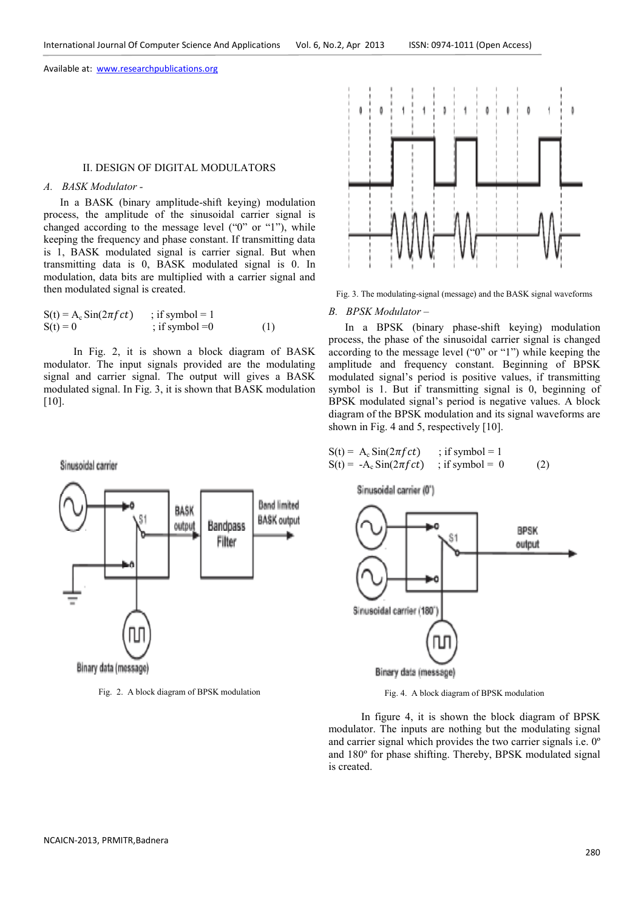#### II. DESIGN OF DIGITAL MODULATORS

## *A. BASK Modulator -*

Sinusoidal carrier

 In a BASK (binary amplitude-shift keying) modulation process, the amplitude of the sinusoidal carrier signal is changed according to the message level ("0" or "1"), while keeping the frequency and phase constant. If transmitting data is 1, BASK modulated signal is carrier signal. But when transmitting data is 0, BASK modulated signal is 0. In modulation, data bits are multiplied with a carrier signal and then modulated signal is created.

| $S(t) = A_c \sin(2\pi f c t)$ | ; if symbol = 1  |     |
|-------------------------------|------------------|-----|
| $S(t) = 0$                    | ; if symbol $=0$ | (1) |

In Fig. 2, it is shown a block diagram of BASK modulator. The input signals provided are the modulating signal and carrier signal. The output will gives a BASK modulated signal. In Fig. 3, it is shown that BASK modulation [10].



Fig. 3. The modulating-signal (message) and the BASK signal waveforms

#### *B. BPSK Modulator –*

 In a BPSK (binary phase-shift keying) modulation process, the phase of the sinusoidal carrier signal is changed according to the message level ("0" or "1") while keeping the amplitude and frequency constant. Beginning of BPSK modulated signal's period is positive values, if transmitting symbol is 1. But if transmitting signal is 0, beginning of BPSK modulated signal's period is negative values. A block diagram of the BPSK modulation and its signal waveforms are shown in Fig. 4 and 5, respectively [10].

$$
S(t) = A_c Sin(2\pi fct) \qquad ; if symbol = 1
$$
  
\n
$$
S(t) = -A_c Sin(2\pi fct) \qquad ; if symbol = 0 \tag{2}
$$



Fig. 2. A block diagram of BPSK modulation

Sinusoidal carrier (0')



Fig. 4. A block diagram of BPSK modulation

 In figure 4, it is shown the block diagram of BPSK modulator. The inputs are nothing but the modulating signal and carrier signal which provides the two carrier signals i.e. 0º and 180º for phase shifting. Thereby, BPSK modulated signal is created.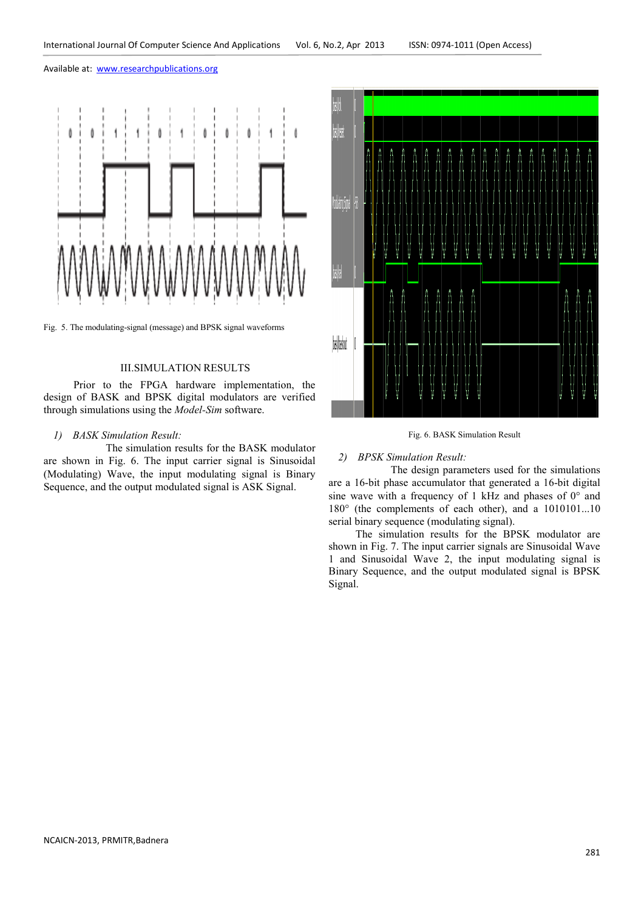

Fig. 5. The modulating-signal (message) and BPSK signal waveforms

# III.SIMULATION RESULTS

 Prior to the FPGA hardware implementation, the design of BASK and BPSK digital modulators are verified through simulations using the *Model-Sim* software.

# *1) BASK Simulation Result:*

The simulation results for the BASK modulator are shown in Fig. 6. The input carrier signal is Sinusoidal (Modulating) Wave, the input modulating signal is Binary Sequence, and the output modulated signal is ASK Signal.



Fig. 6. BASK Simulation Result

## *2) BPSK Simulation Result:*

The design parameters used for the simulations are a 16-bit phase accumulator that generated a 16-bit digital sine wave with a frequency of 1 kHz and phases of 0° and 180° (the complements of each other), and a 1010101...10 serial binary sequence (modulating signal).

 The simulation results for the BPSK modulator are shown in Fig. 7. The input carrier signals are Sinusoidal Wave 1 and Sinusoidal Wave 2, the input modulating signal is Binary Sequence, and the output modulated signal is BPSK Signal.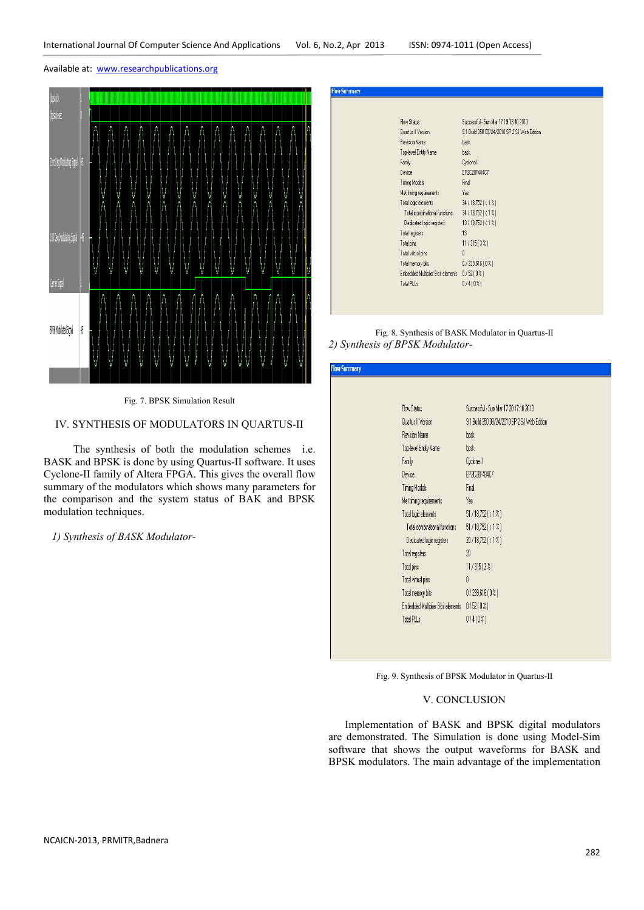

Fig. 7. BPSK Simulation Result

# IV. SYNTHESIS OF MODULATORS IN QUARTUS-II

 The synthesis of both the modulation schemes i.e. BASK and BPSK is done by using Quartus-II software. It uses Cyclone-II family of Altera FPGA. This gives the overall flow summary of the modulators which shows many parameters for the comparison and the system status of BAK and BPSK modulation techniques.

 *1) Synthesis of BASK Modulator-*

| low Summary |                                    |                                              |  |
|-------------|------------------------------------|----------------------------------------------|--|
|             |                                    |                                              |  |
|             | Flow Status                        | Successful - Sun Mar 17 19:13:40 2013        |  |
|             | Quartus II Version                 | 9.1 Build 350 03/24/2010 SP 2 SJ Web Edition |  |
|             | <b>Revision Name</b>               | bask                                         |  |
|             | Top-level Entity Name              | bask                                         |  |
|             | Family                             | Cyclone II                                   |  |
|             | Device                             | EP2C20F484C7                                 |  |
|             | <b>Timing Models</b>               | Final                                        |  |
|             | Met timing requirements            | Yes                                          |  |
|             | Total logic elements               | $34/18,752$ (<1%)                            |  |
|             | Total combinational functions      | $34/18,752$ (<1%)                            |  |
|             | Dedicated logic registers          | $13/18,752$ (<1%)                            |  |
|             | Total registers                    | 13                                           |  |
|             | Total pins                         | 11/315[32]                                   |  |
|             | Total virtual pins                 | $\theta$                                     |  |
|             | Total memory bits                  | $0/239.616(0\%)$                             |  |
|             | Embedded Multiplier 9-bit elements | 0/52(0%)                                     |  |
|             | Total PLLs                         | $0/4(0\%)$                                   |  |

Fig. 8. Synthesis of BASK Modulator in Quartus-II *2) Synthesis of BPSK Modulator-*

| <b>Flow Summary</b> |                                    |                                              |
|---------------------|------------------------------------|----------------------------------------------|
|                     |                                    |                                              |
|                     |                                    |                                              |
|                     | Flow Status                        | Successful - Sun Mar 17 20:17:10 2013        |
|                     | Quartus II Version                 | 9.1 Build 350 03/24/2010 SP 2 SJ Web Edition |
|                     | Revision Name                      | bpsk                                         |
|                     | Top-level Entity Name              | bpsk                                         |
|                     | Family                             | Cyclone II                                   |
|                     | Device                             | EP2C20F484C7                                 |
|                     | Timing Models                      | Final                                        |
|                     | Met timing requirements            | Yes                                          |
|                     | Total logic elements               | $51/18,752 (\times 1\%)$                     |
|                     | Total combinational functions      | $51/18,752 (\times 1\%)$                     |
|                     | Dedicated logic registers          | $20/18,752 (\times 1\%)$                     |
|                     | Total registers                    | 20                                           |
|                     | Total pins                         | 11 / 315 ( 3 % )                             |
|                     | Total virtual pins                 | O                                            |
|                     | Total memory bits                  | 0/239,616[0.2]                               |
|                     | Embedded Multiplier 9-bit elements | $0/52(0\%)$                                  |
|                     | Total PLLs                         | 0/4(0%)                                      |
|                     |                                    |                                              |
|                     |                                    |                                              |

Fig. 9. Synthesis of BPSK Modulator in Quartus-II

### V. CONCLUSION

 Implementation of BASK and BPSK digital modulators are demonstrated. The Simulation is done using Model-Sim software that shows the output waveforms for BASK and BPSK modulators. The main advantage of the implementation